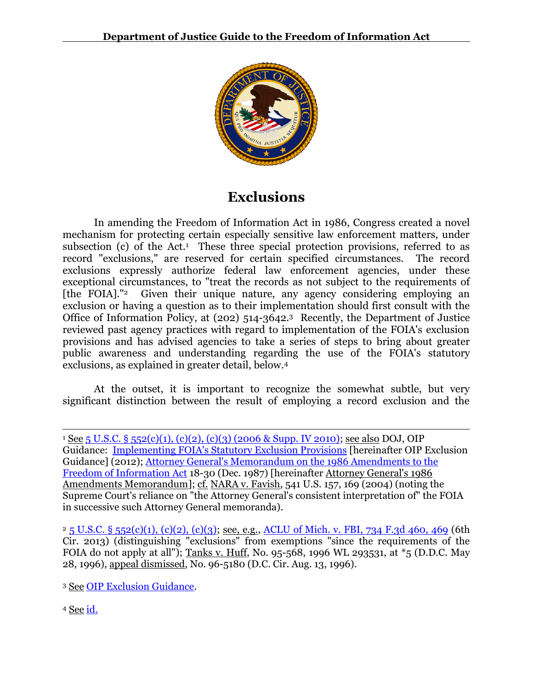

# **Exclusions**

In amending the Freedom of Information Act in 1986, Congress created a novel mechanism for protecting certain especially sensitive law enforcement matters, under subsection (c) of the Act.<sup>1</sup> These three special protection provisions, referred to as record "exclusions," are reserved for certain specified circumstances. The record exclusions expressly authorize federal law enforcement agencies, under these exceptional circumstances, to "treat the records as not subject to the requirements of [the FOIA]."2 Given their unique nature, any agency considering employing an exclusion or having a question as to their implementation should first consult with the Office of Information Policy, at (202) 514-3642.3 Recently, the Department of Justice reviewed past agency practices with regard to implementation of the FOIA's exclusion provisions and has advised agencies to take a series of steps to bring about greater public awareness and understanding regarding the use of the FOIA's statutory exclusions, as explained in greater detail, below. 4

At the outset, it is important to recognize the somewhat subtle, but very significant distinction between the result of employing a record exclusion and the

<sup>4</sup> See [id.](http://www.justice.gov/oip/foiapost/2012foiapost9.html) 

 $\overline{\phantom{a}}$ 

<sup>&</sup>lt;sup>1</sup> See 5 U.S.C. § [552\(c\)\(1\), \(c\)\(2\), \(c\)\(3\) \(2006 & Supp. IV 2010\);](http://www.justice.gov/oip/amended-foia-redlined-2010.pdf) see also DOJ, OIP Guidance: [Implementing FOIA's Statutory Exclusion Provisions](http://www.justice.gov/oip/foiapost/2012foiapost9.html) [hereinafter OIP Exclusion Guidance] (2012); [Attorney General's Memorandum on the 1986 Amendments to the](http://www.justice.gov/oip/86agmemo.htm)  [Freedom of Information Act](http://www.justice.gov/oip/86agmemo.htm) 18-30 (Dec. 1987) [hereinafter Attorney General's 1986 Amendments Memorandum]; cf. NARA v. Favish, 541 U.S. 157, 169 (2004) (noting the Supreme Court's reliance on "the Attorney General's consistent interpretation of" the FOIA in successive such Attorney General memoranda).

 $25$  U.S.C. § [552\(c\)\(1\), \(c\)\(2\), \(c\)\(3\);](http://www.justice.gov/oip/amended-foia-redlined-2010.pdf) see, e.g., ACLU of Mich. [v. FBI, 734 F.3d 460, 469](http://blogs.justice.gov/court-decisions/archives/892) (6th Cir. 2013) (distinguishing "exclusions" from exemptions "since the requirements of the FOIA do not apply at all"); Tanks v. Huff, No. 95-568, 1996 WL 293531, at \*5 (D.D.C. May 28, 1996), appeal dismissed, No. 96-5180 (D.C. Cir. Aug. 13, 1996).

<sup>3</sup> See [OIP Exclusion Guidance.](http://www.justice.gov/oip/foiapost/2012foiapost9.html)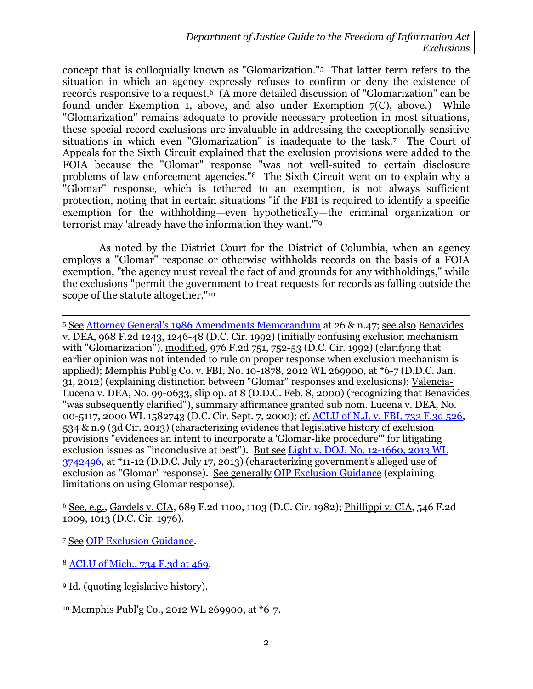concept that is colloquially known as "Glomarization."5 That latter term refers to the situation in which an agency expressly refuses to confirm or deny the existence of records responsive to a request.6 (A more detailed discussion of "Glomarization" can be found under Exemption 1, above, and also under Exemption 7(C), above.) While "Glomarization" remains adequate to provide necessary protection in most situations, these special record exclusions are invaluable in addressing the exceptionally sensitive situations in which even "Glomarization" is inadequate to the task.7 The Court of Appeals for the Sixth Circuit explained that the exclusion provisions were added to the FOIA because the "Glomar" response "was not well-suited to certain disclosure problems of law enforcement agencies."8 The Sixth Circuit went on to explain why a "Glomar" response, which is tethered to an exemption, is not always sufficient protection, noting that in certain situations "if the FBI is required to identify a specific exemption for the withholding—even hypothetically—the criminal organization or terrorist may 'already have the information they want.'"<sup>9</sup>

As noted by the District Court for the District of Columbia, when an agency employs a "Glomar" response or otherwise withholds records on the basis of a FOIA exemption, "the agency must reveal the fact of and grounds for any withholdings," while the exclusions "permit the government to treat requests for records as falling outside the scope of the statute altogether."<sup>10</sup>

<sup>5</sup> See [Attorney General's 1986 Amendments Memorandum](http://www.justice.gov/oip/86agmemo.htm) at 26 & n.47; see also Benavides v. DEA, 968 F.2d 1243, 1246-48 (D.C. Cir. 1992) (initially confusing exclusion mechanism with "Glomarization"), modified, 976 F.2d 751, 752-53 (D.C. Cir. 1992) (clarifying that earlier opinion was not intended to rule on proper response when exclusion mechanism is applied); Memphis Publ'g Co. v. FBI, No. 10-1878, 2012 WL 269900, at \*6-7 (D.D.C. Jan. 31, 2012) (explaining distinction between "Glomar" responses and exclusions); Valencia-Lucena v. DEA, No. 99-0633, slip op. at 8 (D.D.C. Feb. 8, 2000) (recognizing that Benavides "was subsequently clarified"), summary affirmance granted sub nom. Lucena v. DEA, No. 00-5117, 2000 WL 1582743 (D.C. Cir. Sept. 7, 2000); cf. ACLU [of N.J. v. FBI, 733 F.3d 526,](http://blogs.justice.gov/court-decisions/archives/1124) 534 & n.9 (3d Cir. 2013) (characterizing evidence that legislative history of exclusion provisions "evidences an intent to incorporate a 'Glomar-like procedure'" for litigating exclusion issues as "inconclusive at best"). <u>But see Light v. DOJ, No. 12-1660, 2013 WL</u> [3742496,](http://blogs.justice.gov/court-decisions/archives/748) at \*11-12 (D.D.C. July 17, 2013) (characterizing government's alleged use of exclusion as "Glomar" response). See generally [OIP Exclusion Guidance](http://www.justice.gov/oip/foiapost/2012foiapost9.html) (explaining limitations on using Glomar response).

<sup>6</sup> See, e.g., Gardels v. CIA, 689 F.2d 1100, 1103 (D.C. Cir. 1982); Phillippi v. CIA, 546 F.2d 1009, 1013 (D.C. Cir. 1976).

<sup>7</sup> See [OIP Exclusion Guidance.](http://www.justice.gov/oip/foiapost/2012foiapost9.html)

l

- <sup>8</sup> ACLU of [Mich., 734 F.3d at 469.](http://blogs.justice.gov/court-decisions/archives/892)
- <sup>9</sup> Id. (quoting legislative history).
- <sup>10</sup> Memphis Publ'g Co., 2012 WL 269900, at \*6-7.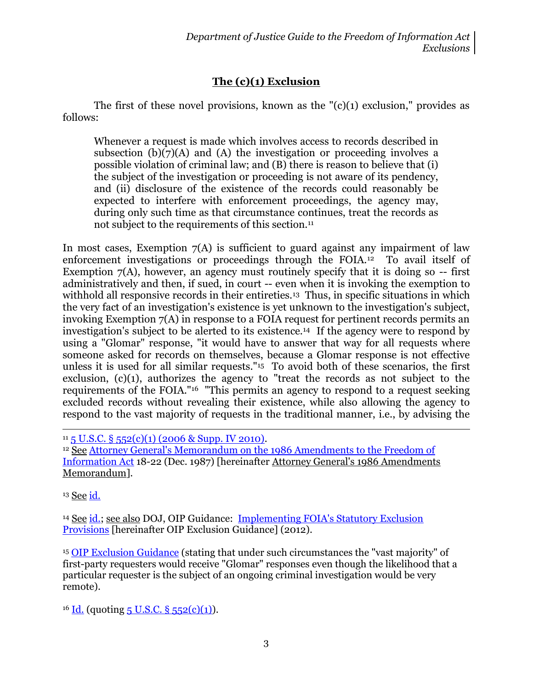## **The (c)(1) Exclusion**

The first of these novel provisions, known as the  $"(c)(1)$  exclusion," provides as follows:

Whenever a request is made which involves access to records described in subsection  $(b)(7)(A)$  and  $(A)$  the investigation or proceeding involves a possible violation of criminal law; and (B) there is reason to believe that (i) the subject of the investigation or proceeding is not aware of its pendency, and (ii) disclosure of the existence of the records could reasonably be expected to interfere with enforcement proceedings, the agency may, during only such time as that circumstance continues, treat the records as not subject to the requirements of this section.<sup>11</sup>

In most cases, Exemption  $7(A)$  is sufficient to guard against any impairment of law enforcement investigations or proceedings through the FOIA.12 To avail itself of Exemption  $7(A)$ , however, an agency must routinely specify that it is doing so  $-$  first administratively and then, if sued, in court -- even when it is invoking the exemption to withhold all responsive records in their entireties.<sup>13</sup> Thus, in specific situations in which the very fact of an investigation's existence is yet unknown to the investigation's subject, invoking Exemption 7(A) in response to a FOIA request for pertinent records permits an investigation's subject to be alerted to its existence.14 If the agency were to respond by using a "Glomar" response, "it would have to answer that way for all requests where someone asked for records on themselves, because a Glomar response is not effective unless it is used for all similar requests."15 To avoid both of these scenarios, the first exclusion, (c)(1), authorizes the agency to "treat the records as not subject to the requirements of the FOIA."<sup>16</sup> "This permits an agency to respond to a request seeking excluded records without revealing their existence, while also allowing the agency to respond to the vast majority of requests in the traditional manner, i.e., by advising the

<sup>13</sup> See [id.](http://www.justice.gov/oip/86agmemo.htm)

 $\overline{\phantom{a}}$ 

<sup>14</sup> See [id.;](http://www.justice.gov/oip/86agmemo.htm) see also DOJ, OIP Guidance: [Implementing FOIA's Statutory Exclusion](http://www.justice.gov/oip/foiapost/2012foiapost9.html)  [Provisions](http://www.justice.gov/oip/foiapost/2012foiapost9.html) [hereinafter OIP Exclusion Guidance] (2012).

<sup>15</sup> [OIP Exclusion Guidance](http://www.justice.gov/oip/foiapost/2012foiapost9.html) (stating that under such circumstances the "vast majority" of first-party requesters would receive "Glomar" responses even though the likelihood that a particular requester is the subject of an ongoing criminal investigation would be very remote).

 $16$  [Id.](http://www.justice.gov/oip/foiapost/2012foiapost9.html) (quoting [5 U.S.C. §](http://www.justice.gov/oip/amended-foia-redlined-2010.pdf) 552(c)(1)).

 $11\overline{5}$  U.S.C.  $\S$  [552\(c\)\(1\) \(2006 & Supp. IV 2010\).](http://www.justice.gov/oip/amended-foia-redlined-2010.pdf)

<sup>&</sup>lt;sup>12</sup> See Attorney General's Memorandum on the 1986 Amendments to the Freedom of [Information Act](http://www.justice.gov/oip/86agmemo.htm) 18-22 (Dec. 1987) [hereinafter Attorney General's 1986 Amendments Memorandum].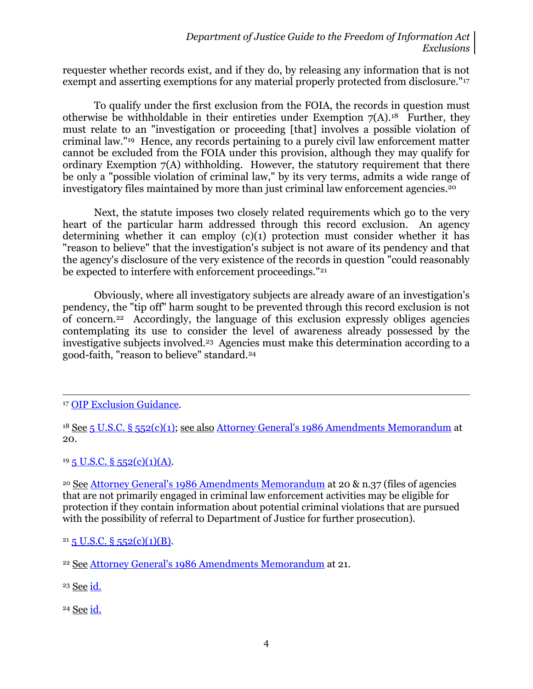requester whether records exist, and if they do, by releasing any information that is not exempt and asserting exemptions for any material properly protected from disclosure."<sup>17</sup>

To qualify under the first exclusion from the FOIA, the records in question must otherwise be withholdable in their entireties under Exemption  $7(A)$ .<sup>18</sup> Further, they must relate to an "investigation or proceeding [that] involves a possible violation of criminal law."19 Hence, any records pertaining to a purely civil law enforcement matter cannot be excluded from the FOIA under this provision, although they may qualify for ordinary Exemption 7(A) withholding. However, the statutory requirement that there be only a "possible violation of criminal law," by its very terms, admits a wide range of investigatory files maintained by more than just criminal law enforcement agencies.<sup>20</sup>

Next, the statute imposes two closely related requirements which go to the very heart of the particular harm addressed through this record exclusion. An agency determining whether it can employ (c)(1) protection must consider whether it has "reason to believe" that the investigation's subject is not aware of its pendency and that the agency's disclosure of the very existence of the records in question "could reasonably be expected to interfere with enforcement proceedings."<sup>21</sup>

Obviously, where all investigatory subjects are already aware of an investigation's pendency, the "tip off" harm sought to be prevented through this record exclusion is not of concern.22 Accordingly, the language of this exclusion expressly obliges agencies contemplating its use to consider the level of awareness already possessed by the investigative subjects involved.23 Agencies must make this determination according to a good-faith, "reason to believe" standard.<sup>24</sup>

 $19\overline{5}$  U.S.C. §  $552(c)(1)(A)$ .

<sup>20</sup> See [Attorney General's 1986 Amendments Memorandum](http://www.justice.gov/oip/86agmemo.htm) at 20 & n.37 (files of agencies that are not primarily engaged in criminal law enforcement activities may be eligible for protection if they contain information about potential criminal violations that are pursued with the possibility of referral to Department of Justice for further prosecution).

 $21\overline{5}$  U.S.C. §  $552(c)(1)(B)$ .

 $\overline{a}$ 

<sup>24</sup> See [id.](http://www.justice.gov/oip/86agmemo.htm)

<sup>17</sup> [OIP Exclusion Guidance.](http://www.justice.gov/oip/foiapost/2012foiapost9.html)

<sup>18</sup> See [5 U.S.C. §](http://www.justice.gov/oip/amended-foia-redlined-2010.pdf) 552(c)(1); see also [Attorney General's 1986 Amendments Memorandum](http://www.justice.gov/oip/86agmemo.htm) at 20.

<sup>22</sup> See [Attorney General's 1986 Amendments Memorandum](http://www.justice.gov/oip/86agmemo.htm) at 21.

<sup>23</sup> See [id.](http://www.justice.gov/oip/86agmemo.htm)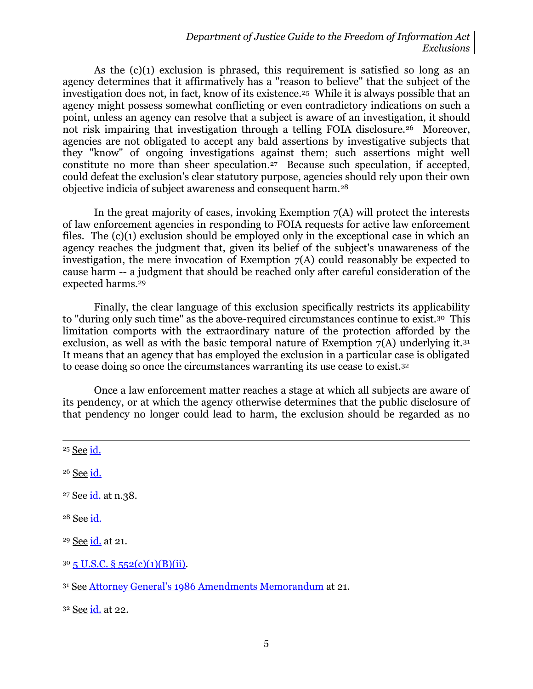As the (c)(1) exclusion is phrased, this requirement is satisfied so long as an agency determines that it affirmatively has a "reason to believe" that the subject of the investigation does not, in fact, know of its existence.25 While it is always possible that an agency might possess somewhat conflicting or even contradictory indications on such a point, unless an agency can resolve that a subject is aware of an investigation, it should not risk impairing that investigation through a telling FOIA disclosure.<sup>26</sup> Moreover, agencies are not obligated to accept any bald assertions by investigative subjects that they "know" of ongoing investigations against them; such assertions might well constitute no more than sheer speculation.27 Because such speculation, if accepted, could defeat the exclusion's clear statutory purpose, agencies should rely upon their own objective indicia of subject awareness and consequent harm.<sup>28</sup>

In the great majority of cases, invoking Exemption  $7(A)$  will protect the interests of law enforcement agencies in responding to FOIA requests for active law enforcement files. The (c)(1) exclusion should be employed only in the exceptional case in which an agency reaches the judgment that, given its belief of the subject's unawareness of the investigation, the mere invocation of Exemption 7(A) could reasonably be expected to cause harm -- a judgment that should be reached only after careful consideration of the expected harms. 29

Finally, the clear language of this exclusion specifically restricts its applicability to "during only such time" as the above-required circumstances continue to exist.30 This limitation comports with the extraordinary nature of the protection afforded by the exclusion, as well as with the basic temporal nature of Exemption  $7(A)$  underlying it.<sup>31</sup> It means that an agency that has employed the exclusion in a particular case is obligated to cease doing so once the circumstances warranting its use cease to exist.<sup>32</sup>

Once a law enforcement matter reaches a stage at which all subjects are aware of its pendency, or at which the agency otherwise determines that the public disclosure of that pendency no longer could lead to harm, the exclusion should be regarded as no

<sup>25</sup> See [id.](http://www.justice.gov/oip/86agmemo.htm)

 $\overline{\phantom{a}}$ 

<sup>26</sup> See [id.](http://www.justice.gov/oip/86agmemo.htm)

<sup>27</sup> See [id.](http://www.justice.gov/oip/86agmemo.htm) at n.38.

<sup>28</sup> See [id.](http://www.justice.gov/oip/86agmemo.htm)

<sup>29</sup> See [id.](http://www.justice.gov/oip/86agmemo.htm) at 21.

 $30\overline{5}$  U.S.C. §  $552(c)(1)(B)(ii)$ .

<sup>31</sup> See [Attorney General's 1986 Amendments Memorandum](http://www.justice.gov/oip/86agmemo.htm) at 21.

<sup>32</sup> See [id.](http://www.justice.gov/oip/86agmemo.htm) at 22.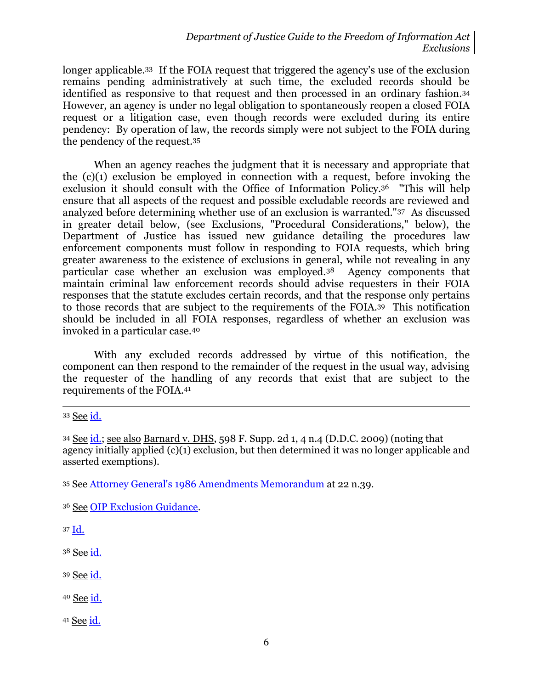longer applicable.33 If the FOIA request that triggered the agency's use of the exclusion remains pending administratively at such time, the excluded records should be identified as responsive to that request and then processed in an ordinary fashion.<sup>34</sup> However, an agency is under no legal obligation to spontaneously reopen a closed FOIA request or a litigation case, even though records were excluded during its entire pendency: By operation of law, the records simply were not subject to the FOIA during the pendency of the request.<sup>35</sup>

When an agency reaches the judgment that it is necessary and appropriate that the (c)(1) exclusion be employed in connection with a request, before invoking the exclusion it should consult with the Office of Information Policy.36 "This will help ensure that all aspects of the request and possible excludable records are reviewed and analyzed before determining whether use of an exclusion is warranted."37 As discussed in greater detail below, (see Exclusions, "Procedural Considerations," below), the Department of Justice has issued new guidance detailing the procedures law enforcement components must follow in responding to FOIA requests, which bring greater awareness to the existence of exclusions in general, while not revealing in any particular case whether an exclusion was employed.38 Agency components that maintain criminal law enforcement records should advise requesters in their FOIA responses that the statute excludes certain records, and that the response only pertains to those records that are subject to the requirements of the FOIA.39 This notification should be included in all FOIA responses, regardless of whether an exclusion was invoked in a particular case.<sup>40</sup>

With any excluded records addressed by virtue of this notification, the component can then respond to the remainder of the request in the usual way, advising the requester of the handling of any records that exist that are subject to the requirements of the FOIA.<sup>41</sup>

<sup>33</sup> See [id.](http://www.justice.gov/oip/86agmemo.htm)

 $\overline{a}$ 

<sup>36</sup> See [OIP Exclusion Guidance.](http://www.justice.gov/oip/foiapost/2012foiapost9.html)

<sup>37</sup> [Id.](http://www.justice.gov/oip/foiapost/2012foiapost9.html)

<sup>38</sup> See [id.](http://www.justice.gov/oip/foiapost/2012foiapost9.html)

<sup>39</sup> See [id.](http://www.justice.gov/oip/foiapost/2012foiapost9.html)

40 See [id.](http://www.justice.gov/oip/foiapost/2012foiapost9.html)

<sup>41</sup> See [id.](http://www.justice.gov/oip/foiapost/2012foiapost9.html)

<sup>34</sup> See [id.;](http://www.justice.gov/oip/86agmemo.htm) see also Barnard v. DHS, 598 F. Supp. 2d 1, 4 n.4 (D.D.C. 2009) (noting that agency initially applied (c)(1) exclusion, but then determined it was no longer applicable and asserted exemptions).

<sup>35</sup> See [Attorney General's 1986 Amendments Memorandum](http://www.justice.gov/oip/86agmemo.htm) at 22 n.39.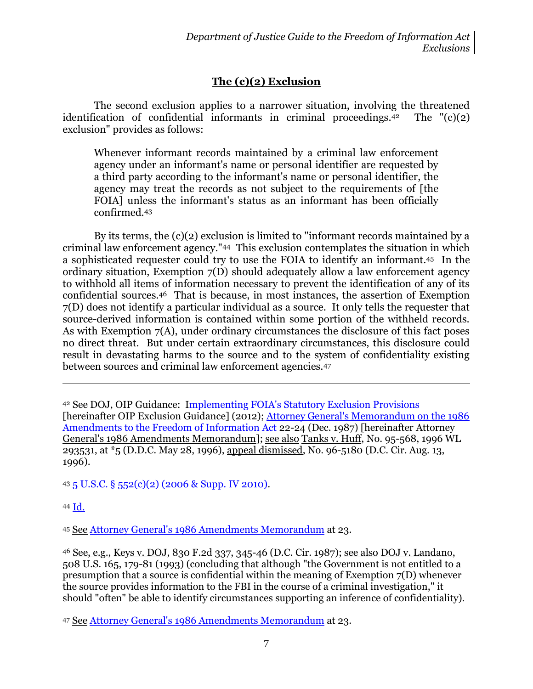## **The (c)(2) Exclusion**

The second exclusion applies to a narrower situation, involving the threatened identification of confidential informants in criminal proceedings.<sup>42</sup> The  $\Gamma$ (c)(2) exclusion" provides as follows:

Whenever informant records maintained by a criminal law enforcement agency under an informant's name or personal identifier are requested by a third party according to the informant's name or personal identifier, the agency may treat the records as not subject to the requirements of [the FOIA] unless the informant's status as an informant has been officially confirmed.<sup>43</sup>

By its terms, the (c)(2) exclusion is limited to "informant records maintained by a criminal law enforcement agency."44 This exclusion contemplates the situation in which a sophisticated requester could try to use the FOIA to identify an informant.45 In the ordinary situation, Exemption 7(D) should adequately allow a law enforcement agency to withhold all items of information necessary to prevent the identification of any of its confidential sources.46 That is because, in most instances, the assertion of Exemption 7(D) does not identify a particular individual as a source. It only tells the requester that source-derived information is contained within some portion of the withheld records. As with Exemption  $7(A)$ , under ordinary circumstances the disclosure of this fact poses no direct threat. But under certain extraordinary circumstances, this disclosure could result in devastating harms to the source and to the system of confidentiality existing between sources and criminal law enforcement agencies.<sup>47</sup>

<sup>42</sup> See DOJ, OIP Guidance: [Implementing FOIA's Statutory Exclusion Provisions](http://www.justice.gov/oip/foiapost/2012foiapost9.html) [hereinafter OIP Exclusion Guidance] (2012); [Attorney General's Memorandum on the 1986](http://www.justice.gov/oip/86agmemo.htm)  [Amendments to the Freedom of Information Act](http://www.justice.gov/oip/86agmemo.htm) 22-24 (Dec. 1987) [hereinafter Attorney General's 1986 Amendments Memorandum]; see also Tanks v. Huff, No. 95-568, 1996 WL 293531, at \*5 (D.D.C. May 28, 1996), appeal dismissed, No. 96-5180 (D.C. Cir. Aug. 13, 1996).

<sup>43</sup> 5 U.S.C. § [552\(c\)\(2\) \(2006 & Supp. IV 2010\).](http://www.justice.gov/oip/amended-foia-redlined-2010.pdf)

<sup>44</sup> [Id.](http://www.justice.gov/oip/amended-foia-redlined-2010.pdf)

 $\overline{\phantom{a}}$ 

<sup>45</sup> See [Attorney General's 1986 Amendments Memorandum](http://www.justice.gov/oip/86agmemo.htm) at 23.

<sup>46</sup> See, e.g., Keys v. DOJ, 830 F.2d 337, 345-46 (D.C. Cir. 1987); see also DOJ v. Landano, 508 U.S. 165, 179-81 (1993) (concluding that although "the Government is not entitled to a presumption that a source is confidential within the meaning of Exemption 7(D) whenever the source provides information to the FBI in the course of a criminal investigation," it should "often" be able to identify circumstances supporting an inference of confidentiality).

<sup>47</sup> See [Attorney General's 1986 Amendments Memorandum](http://www.justice.gov/oip/86agmemo.htm) at 23.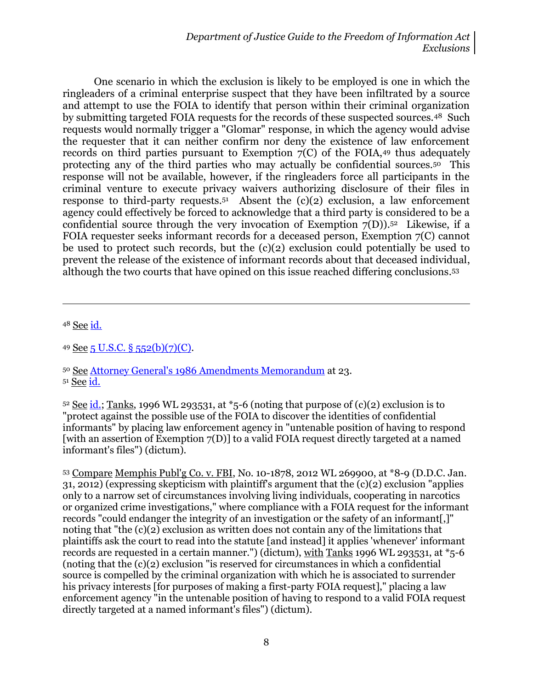One scenario in which the exclusion is likely to be employed is one in which the ringleaders of a criminal enterprise suspect that they have been infiltrated by a source and attempt to use the FOIA to identify that person within their criminal organization by submitting targeted FOIA requests for the records of these suspected sources.48 Such requests would normally trigger a "Glomar" response, in which the agency would advise the requester that it can neither confirm nor deny the existence of law enforcement records on third parties pursuant to Exemption  $7(C)$  of the FOIA, 49 thus adequately protecting any of the third parties who may actually be confidential sources.50 This response will not be available, however, if the ringleaders force all participants in the criminal venture to execute privacy waivers authorizing disclosure of their files in response to third-party requests.<sup>51</sup> Absent the (c)(2) exclusion, a law enforcement agency could effectively be forced to acknowledge that a third party is considered to be a confidential source through the very invocation of Exemption  $7(D)$ .<sup>52</sup> Likewise, if a FOIA requester seeks informant records for a deceased person, Exemption 7(C) cannot be used to protect such records, but the (c)(2) exclusion could potentially be used to prevent the release of the existence of informant records about that deceased individual, although the two courts that have opined on this issue reached differing conclusions. 53

<sup>48</sup> See [id.](http://www.justice.gov/oip/86agmemo.htm)

l

<sup>49</sup> See [5 U.S.C. § 552\(b\)\(7\)\(C\).](http://www.justice.gov/oip/amended-foia-redlined-2010.pdf)

 $52$  See [id.;](http://www.justice.gov/oip/86agmemo.htm) Tanks, 1996 WL 293531, at  $*$ 5-6 (noting that purpose of (c)(2) exclusion is to "protect against the possible use of the FOIA to discover the identities of confidential informants" by placing law enforcement agency in "untenable position of having to respond [with an assertion of Exemption 7(D)] to a valid FOIA request directly targeted at a named informant's files") (dictum).

<sup>53</sup> Compare Memphis Publ'g Co. v. FBI, No. 10-1878, 2012 WL 269900, at \*8-9 (D.D.C. Jan. 31, 2012) (expressing skepticism with plaintiff's argument that the (c)(2) exclusion "applies only to a narrow set of circumstances involving living individuals, cooperating in narcotics or organized crime investigations," where compliance with a FOIA request for the informant records "could endanger the integrity of an investigation or the safety of an informant[,]" noting that "the (c)(2) exclusion as written does not contain any of the limitations that plaintiffs ask the court to read into the statute [and instead] it applies 'whenever' informant records are requested in a certain manner.") (dictum), with Tanks 1996 WL 293531, at \*5-6 (noting that the (c)(2) exclusion "is reserved for circumstances in which a confidential source is compelled by the criminal organization with which he is associated to surrender his privacy interests [for purposes of making a first-party FOIA request]," placing a law enforcement agency "in the untenable position of having to respond to a valid FOIA request directly targeted at a named informant's files") (dictum).

<sup>50</sup> See [Attorney General's 1986 Amendments Memorandum](http://www.justice.gov/oip/86agmemo.htm) at 23. <sup>51</sup> See [id.](http://www.justice.gov/oip/86agmemo.htm)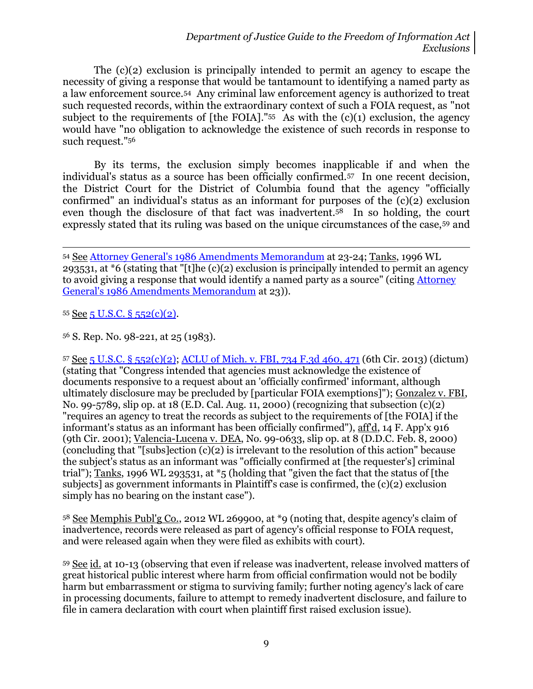The (c)(2) exclusion is principally intended to permit an agency to escape the necessity of giving a response that would be tantamount to identifying a named party as a law enforcement source.54 Any criminal law enforcement agency is authorized to treat such requested records, within the extraordinary context of such a FOIA request, as "not subject to the requirements of [the FOIA]." <sup>55</sup> As with the (c)(1) exclusion, the agency would have "no obligation to acknowledge the existence of such records in response to such request."<sup>56</sup>

By its terms, the exclusion simply becomes inapplicable if and when the individual's status as a source has been officially confirmed.57 In one recent decision, the District Court for the District of Columbia found that the agency "officially confirmed" an individual's status as an informant for purposes of the (c)(2) exclusion even though the disclosure of that fact was inadvertent.58 In so holding, the court expressly stated that its ruling was based on the unique circumstances of the case,<sup>59</sup> and

55 See 5 U.S.C.  $\S$  [552\(c\)\(2\).](http://www.justice.gov/oip/amended-foia-redlined-2010.pdf)

l

<sup>56</sup> S. Rep. No. 98-221, at 25 (1983).

<sup>57</sup> See 5 U.S.C. § [552\(c\)\(2\);](http://www.justice.gov/oip/amended-foia-redlined-2010.pdf) ACLU of Mich. [v. FBI, 734 F.3d 460, 471](http://blogs.justice.gov/court-decisions/archives/892) (6th Cir. 2013) (dictum) (stating that "Congress intended that agencies must acknowledge the existence of documents responsive to a request about an 'officially confirmed' informant, although ultimately disclosure may be precluded by [particular FOIA exemptions]"); Gonzalez v. FBI, No. 99-5789, slip op. at 18 (E.D. Cal. Aug. 11, 2000) (recognizing that subsection (c)(2) "requires an agency to treat the records as subject to the requirements of [the FOIA] if the informant's status as an informant has been officially confirmed"), aff'd, 14 F. App'x 916 (9th Cir. 2001); Valencia-Lucena v. DEA, No. 99-0633, slip op. at 8 (D.D.C. Feb. 8, 2000) (concluding that "[subs]ection  $(c)(2)$  is irrelevant to the resolution of this action" because the subject's status as an informant was "officially confirmed at [the requester's] criminal trial"); Tanks, 1996 WL 293531, at \*5 (holding that "given the fact that the status of [the subjects] as government informants in Plaintiff's case is confirmed, the (c)(2) exclusion simply has no bearing on the instant case").

<sup>58</sup> See Memphis Publ'g Co., 2012 WL 269900, at \*9 (noting that, despite agency's claim of inadvertence, records were released as part of agency's official response to FOIA request, and were released again when they were filed as exhibits with court).

<sup>59</sup> See id. at 10-13 (observing that even if release was inadvertent, release involved matters of great historical public interest where harm from official confirmation would not be bodily harm but embarrassment or stigma to surviving family; further noting agency's lack of care in processing documents, failure to attempt to remedy inadvertent disclosure, and failure to file in camera declaration with court when plaintiff first raised exclusion issue).

<sup>54</sup> See [Attorney General's 1986 Amendments Memorandum](http://www.justice.gov/oip/86agmemo.htm) at 23-24; Tanks, 1996 WL 293531, at  $*6$  (stating that "[t]he (c)(2) exclusion is principally intended to permit an agency to avoid giving a response that would identify a named party as a source" (citing [Attorney](http://www.justice.gov/oip/86agmemo.htm)  [General's 1986 Amendments Memorandum](http://www.justice.gov/oip/86agmemo.htm) at 23)).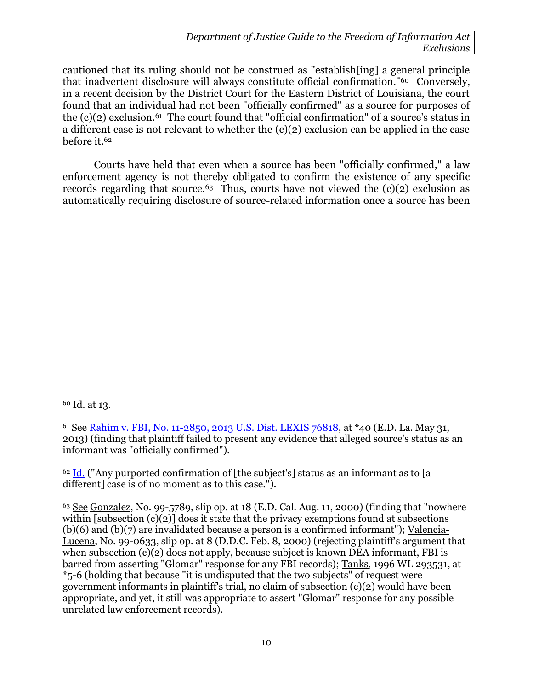cautioned that its ruling should not be construed as "establish[ing] a general principle that inadvertent disclosure will always constitute official confirmation."60 Conversely, in a recent decision by the District Court for the Eastern District of Louisiana, the court found that an individual had not been "officially confirmed" as a source for purposes of the (c)(2) exclusion.<sup>61</sup> The court found that "official confirmation" of a source's status in a different case is not relevant to whether the (c)(2) exclusion can be applied in the case before it.<sup>62</sup>

Courts have held that even when a source has been "officially confirmed," a law enforcement agency is not thereby obligated to confirm the existence of any specific records regarding that source.<sup>63</sup> Thus, courts have not viewed the  $(c)(2)$  exclusion as automatically requiring disclosure of source-related information once a source has been

 $\overline{a}$ 

 $62$  [Id.](http://blogs.justice.gov/court-decisions/archives/484) ("Any purported confirmation of [the subject's] status as an informant as to [a] different] case is of no moment as to this case.").

<sup>60</sup> Id. at 13.

<sup>61</sup> See [Rahim v. FBI, No. 11-2850, 2013 U.S. Dist. LEXIS 76818,](http://blogs.justice.gov/court-decisions/archives/484) at \*40 (E.D. La. May 31, 2013) (finding that plaintiff failed to present any evidence that alleged source's status as an informant was "officially confirmed").

 $63$  See Gonzalez, No. 99-5789, slip op. at 18 (E.D. Cal. Aug. 11, 2000) (finding that "nowhere within [subsection (c)(2)] does it state that the privacy exemptions found at subsections (b)(6) and (b)(7) are invalidated because a person is a confirmed informant"); Valencia-Lucena, No. 99-0633, slip op. at 8 (D.D.C. Feb. 8, 2000) (rejecting plaintiff's argument that when subsection (c)(2) does not apply, because subject is known DEA informant, FBI is barred from asserting "Glomar" response for any FBI records); Tanks, 1996 WL 293531, at \*5-6 (holding that because "it is undisputed that the two subjects" of request were government informants in plaintiff's trial, no claim of subsection (c)(2) would have been appropriate, and yet, it still was appropriate to assert "Glomar" response for any possible unrelated law enforcement records).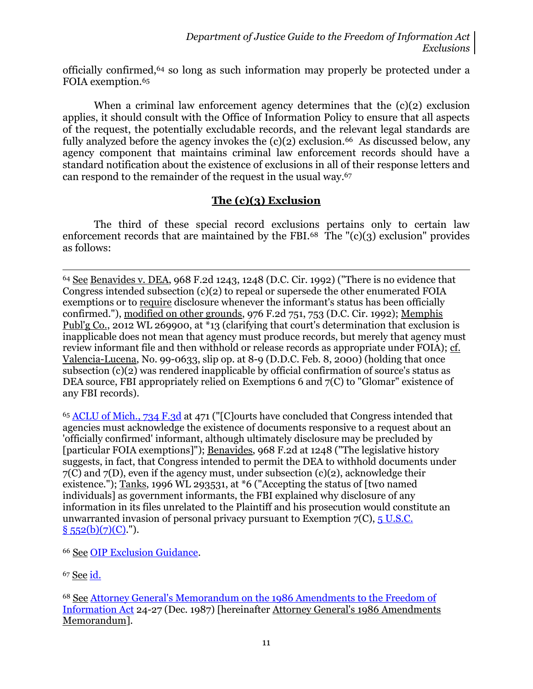officially confirmed, <sup>64</sup> so long as such information may properly be protected under a FOIA exemption.<sup>65</sup>

When a criminal law enforcement agency determines that the  $(c)(2)$  exclusion applies, it should consult with the Office of Information Policy to ensure that all aspects of the request, the potentially excludable records, and the relevant legal standards are fully analyzed before the agency invokes the  $(c)(2)$  exclusion.<sup>66</sup> As discussed below, any agency component that maintains criminal law enforcement records should have a standard notification about the existence of exclusions in all of their response letters and can respond to the remainder of the request in the usual way.<sup>67</sup>

### **The (c)(3) Exclusion**

The third of these special record exclusions pertains only to certain law enforcement records that are maintained by the FBI. $68$  The  $\degree$ (c)(3) exclusion $\degree$  provides as follows:

 $\overline{a}$ <sup>64</sup> See Benavides v. DEA, 968 F.2d 1243, 1248 (D.C. Cir. 1992) ("There is no evidence that Congress intended subsection (c)(2) to repeal or supersede the other enumerated FOIA exemptions or to require disclosure whenever the informant's status has been officially confirmed."), modified on other grounds, 976 F.2d 751, 753 (D.C. Cir. 1992); Memphis Publ'g Co., 2012 WL 269900, at \*13 (clarifying that court's determination that exclusion is inapplicable does not mean that agency must produce records, but merely that agency must review informant file and then withhold or release records as appropriate under FOIA); cf. Valencia-Lucena, No. 99-0633, slip op. at 8-9 (D.D.C. Feb. 8, 2000) (holding that once subsection (c)(2) was rendered inapplicable by official confirmation of source's status as DEA source, FBI appropriately relied on Exemptions 6 and 7(C) to "Glomar" existence of any FBI records).

<sup>65</sup> ACLU [of Mich., 734 F.3d](http://blogs.justice.gov/court-decisions/archives/892) at 471 ("[C]ourts have concluded that Congress intended that agencies must acknowledge the existence of documents responsive to a request about an 'officially confirmed' informant, although ultimately disclosure may be precluded by [particular FOIA exemptions]"); Benavides, 968 F.2d at 1248 ("The legislative history suggests, in fact, that Congress intended to permit the DEA to withhold documents under 7(C) and 7(D), even if the agency must, under subsection (c)(2), acknowledge their existence."); Tanks, 1996 WL 293531, at  $*6$  ("Accepting the status of [two named] individuals] as government informants, the FBI explained why disclosure of any information in its files unrelated to the Plaintiff and his prosecution would constitute an unwarranted invasion of personal privacy pursuant to Exemption  $7(C)$ ,  $5$  U.S.C.  $§ 552(b)(7)(C)$ .").

<sup>66</sup> See [OIP Exclusion Guidance.](http://www.justice.gov/oip/foiapost/2012foiapost9.html)

<sup>67</sup> See [id.](http://www.justice.gov/oip/foiapost/2012foiapost9.html)

<sup>68</sup> See [Attorney General's Memorandum on the 1986 Amendments to the Freedom of](http://www.justice.gov/oip/86agmemo.htm)  [Information Act](http://www.justice.gov/oip/86agmemo.htm) 24-27 (Dec. 1987) [hereinafter Attorney General's 1986 Amendments Memorandum].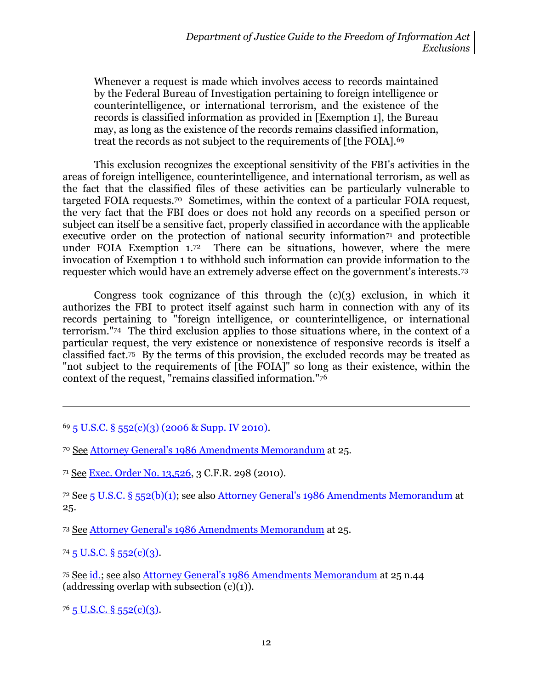Whenever a request is made which involves access to records maintained by the Federal Bureau of Investigation pertaining to foreign intelligence or counterintelligence, or international terrorism, and the existence of the records is classified information as provided in [Exemption 1], the Bureau may, as long as the existence of the records remains classified information, treat the records as not subject to the requirements of [the FOIA].<sup>69</sup>

This exclusion recognizes the exceptional sensitivity of the FBI's activities in the areas of foreign intelligence, counterintelligence, and international terrorism, as well as the fact that the classified files of these activities can be particularly vulnerable to targeted FOIA requests.70 Sometimes, within the context of a particular FOIA request, the very fact that the FBI does or does not hold any records on a specified person or subject can itself be a sensitive fact, properly classified in accordance with the applicable executive order on the protection of national security information<sup> $71$ </sup> and protectible under FOIA Exemption  $1.72$  There can be situations, however, where the mere invocation of Exemption 1 to withhold such information can provide information to the requester which would have an extremely adverse effect on the government's interests.<sup>73</sup>

Congress took cognizance of this through the  $(c)(3)$  exclusion, in which it authorizes the FBI to protect itself against such harm in connection with any of its records pertaining to "foreign intelligence, or counterintelligence, or international terrorism."74 The third exclusion applies to those situations where, in the context of a particular request, the very existence or nonexistence of responsive records is itself a classified fact. <sup>75</sup> By the terms of this provision, the excluded records may be treated as "not subject to the requirements of [the FOIA]" so long as their existence, within the context of the request, "remains classified information."<sup>76</sup>

<sup>73</sup> See [Attorney General's 1986 Amendments Memorandum](http://www.justice.gov/oip/86agmemo.htm) at 25.

 $74\overline{5}$  U.S.C. §  $552(c)(3)$ .

 $\overline{a}$ 

<sup>75</sup> See [id.;](http://www.justice.gov/oip/amended-foia-redlined-2010.pdf) see also [Attorney General's 1986 Amendments Memorandum](http://www.justice.gov/oip/86agmemo.htm) at 25 n.44 (addressing overlap with subsection  $(c)(1)$ ).

 $76$  5 U.S.C. § [552\(c\)\(3\).](http://www.justice.gov/oip/amended-foia-redlined-2010.pdf)

 $69\overline{5}$  U.S.C. §  $552(c)(3)$  (2006 & Supp. IV 2010).

<sup>70</sup> See Attorney General's 1986 [Amendments Memorandum](http://www.justice.gov/oip/86agmemo.htm) at 25.

<sup>71</sup> See [Exec. Order No. 13,526,](http://www.gpo.gov/fdsys/pkg/CFR-2010-title3-vol1/xml/CFR-2010-title3-vol1-eo13526.xml) 3 C.F.R. 298 (2010).

<sup>72</sup> See 5 U.S.C. § [552\(b\)\(1\);](http://www.justice.gov/oip/amended-foia-redlined-2010.pdf) see also [Attorney General's 1986 Amendments Memorandum](http://www.justice.gov/oip/86agmemo.htm) at 25.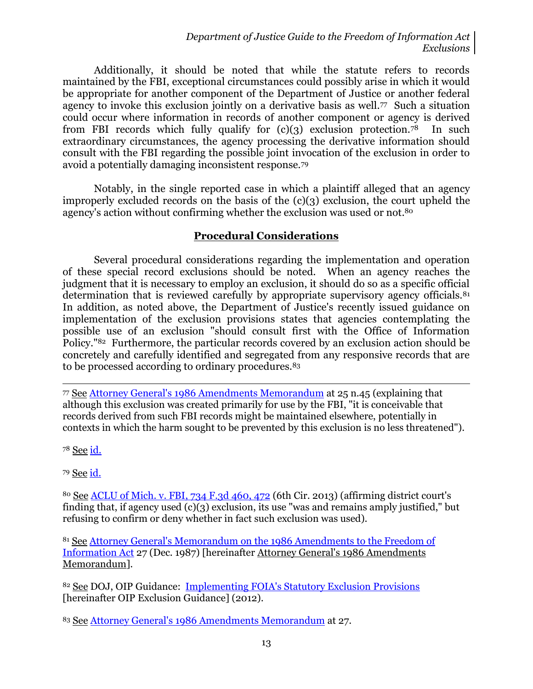Additionally, it should be noted that while the statute refers to records maintained by the FBI, exceptional circumstances could possibly arise in which it would be appropriate for another component of the Department of Justice or another federal agency to invoke this exclusion jointly on a derivative basis as well.77 Such a situation could occur where information in records of another component or agency is derived from FBI records which fully qualify for  $(c)(3)$  exclusion protection.<sup>78</sup> In such extraordinary circumstances, the agency processing the derivative information should consult with the FBI regarding the possible joint invocation of the exclusion in order to avoid a potentially damaging inconsistent response.<sup>79</sup>

Notably, in the single reported case in which a plaintiff alleged that an agency improperly excluded records on the basis of the (c)(3) exclusion, the court upheld the agency's action without confirming whether the exclusion was used or not.<sup>80</sup>

#### **Procedural Considerations**

Several procedural considerations regarding the implementation and operation of these special record exclusions should be noted. When an agency reaches the judgment that it is necessary to employ an exclusion, it should do so as a specific official determination that is reviewed carefully by appropriate supervisory agency officials.<sup>81</sup> In addition, as noted above, the Department of Justice's recently issued guidance on implementation of the exclusion provisions states that agencies contemplating the possible use of an exclusion "should consult first with the Office of Information Policy."82 Furthermore, the particular records covered by an exclusion action should be concretely and carefully identified and segregated from any responsive records that are to be processed according to ordinary procedures.<sup>83</sup>

 $\overline{\phantom{a}}$ <sup>77</sup> See [Attorney General's 1986 Amendments Memorandum](http://www.justice.gov/oip/86agmemo.htm) at 25 n.45 (explaining that although this exclusion was created primarily for use by the FBI, "it is conceivable that records derived from such FBI records might be maintained elsewhere, potentially in contexts in which the harm sought to be prevented by this exclusion is no less threatened").

<sup>78</sup> See [id.](http://www.justice.gov/oip/86agmemo.htm)

<sup>79</sup> See [id.](http://www.justice.gov/oip/86agmemo.htm)

<sup>80</sup> See ACLU of Mich. [v. FBI, 734 F.3d 460, 472](http://blogs.justice.gov/court-decisions/archives/892) (6th Cir. 2013) (affirming district court's finding that, if agency used  $(c)(3)$  exclusion, its use "was and remains amply justified," but refusing to confirm or deny whether in fact such exclusion was used).

<sup>81</sup> See [Attorney General's Memorandum on the 1986 Amendments to the Freedom of](http://www.justice.gov/oip/86agmemo.htm)  [Information Act](http://www.justice.gov/oip/86agmemo.htm) 27 (Dec. 1987) [hereinafter Attorney General's 1986 Amendments Memorandum].

<sup>82</sup> See DOJ, OIP Guidance: [Implementing FOIA's Statutory Exclusion Provisions](http://www.justice.gov/oip/foiapost/2012foiapost9.html) [hereinafter OIP Exclusion Guidance] (2012).

<sup>83</sup> See [Attorney General's 1986 Amendments Memorandum](http://www.justice.gov/oip/86agmemo.htm) at 27.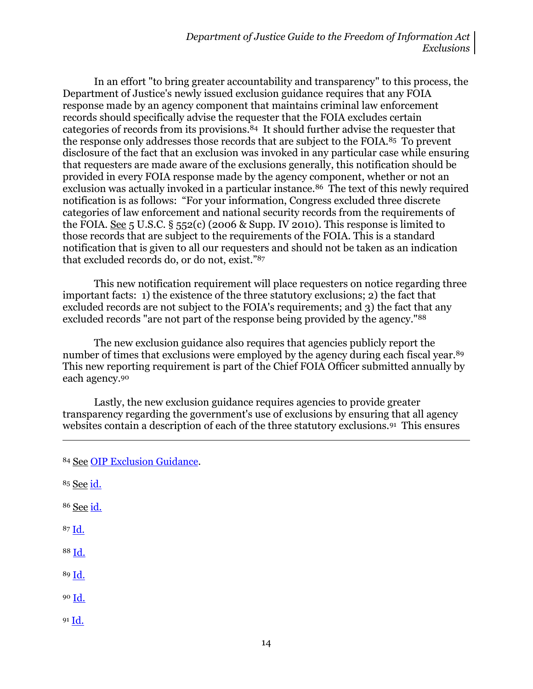In an effort "to bring greater accountability and transparency" to this process, the Department of Justice's newly issued exclusion guidance requires that any FOIA response made by an agency component that maintains criminal law enforcement records should specifically advise the requester that the FOIA excludes certain categories of records from its provisions. <sup>84</sup> It should further advise the requester that the response only addresses those records that are subject to the FOIA.85 To prevent disclosure of the fact that an exclusion was invoked in any particular case while ensuring that requesters are made aware of the exclusions generally, this notification should be provided in every FOIA response made by the agency component, whether or not an exclusion was actually invoked in a particular instance.<sup>86</sup> The text of this newly required notification is as follows: "For your information, Congress excluded three discrete categories of law enforcement and national security records from the requirements of the FOIA. See 5 U.S.C.  $\S$  552(c) (2006 & Supp. IV 2010). This response is limited to those records that are subject to the requirements of the FOIA. This is a standard notification that is given to all our requesters and should not be taken as an indication that excluded records do, or do not, exist."<sup>87</sup>

This new notification requirement will place requesters on notice regarding three important facts: 1) the existence of the three statutory exclusions; 2) the fact that excluded records are not subject to the FOIA's requirements; and 3) the fact that any excluded records "are not part of the response being provided by the agency."<sup>88</sup>

The new exclusion guidance also requires that agencies publicly report the number of times that exclusions were employed by the agency during each fiscal year.<sup>89</sup> This new reporting requirement is part of the Chief FOIA Officer submitted annually by each agency.<sup>90</sup>

Lastly, the new exclusion guidance requires agencies to provide greater transparency regarding the government's use of exclusions by ensuring that all agency websites contain a description of each of the three statutory exclusions.<sup>91</sup> This ensures

<sup>85</sup> See [id.](http://www.justice.gov/oip/foiapost/2012foiapost9.html)

 $\overline{\phantom{a}}$ 

- <sup>86</sup> See [id.](http://www.justice.gov/oip/foiapost/2012foiapost9.html)
- <sup>87</sup> [Id.](http://www.justice.gov/oip/foiapost/2012foiapost9.html)
- <sup>88</sup> [Id.](http://www.justice.gov/oip/foiapost/2012foiapost9.html)
- <sup>89</sup> [Id.](http://www.justice.gov/oip/foiapost/2012foiapost9.html)
- <sup>90</sup> [Id.](http://www.justice.gov/oip/foiapost/2012foiapost9.html)
- $91 \underline{Id.}$  $91 \underline{Id.}$  $91 \underline{Id.}$

<sup>84</sup> See [OIP Exclusion Guidance.](http://www.justice.gov/oip/foiapost/2012foiapost9.html)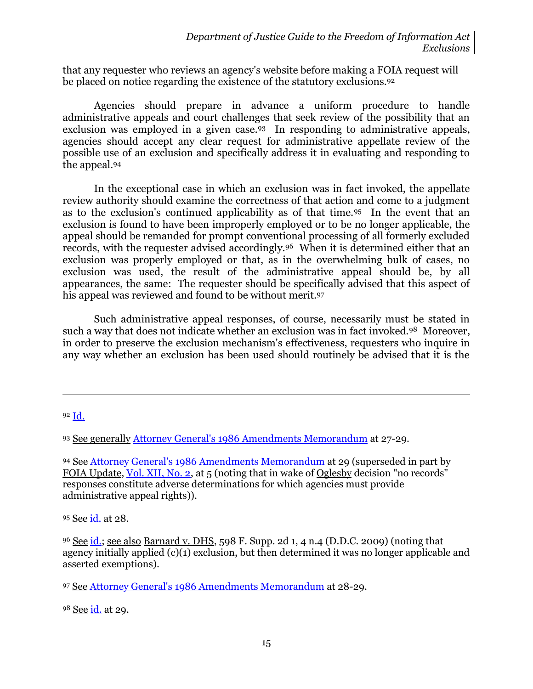that any requester who reviews an agency's website before making a FOIA request will be placed on notice regarding the existence of the statutory exclusions.<sup>92</sup>

Agencies should prepare in advance a uniform procedure to handle administrative appeals and court challenges that seek review of the possibility that an exclusion was employed in a given case.93 In responding to administrative appeals, agencies should accept any clear request for administrative appellate review of the possible use of an exclusion and specifically address it in evaluating and responding to the appeal.<sup>94</sup>

In the exceptional case in which an exclusion was in fact invoked, the appellate review authority should examine the correctness of that action and come to a judgment as to the exclusion's continued applicability as of that time.95 In the event that an exclusion is found to have been improperly employed or to be no longer applicable, the appeal should be remanded for prompt conventional processing of all formerly excluded records, with the requester advised accordingly.96 When it is determined either that an exclusion was properly employed or that, as in the overwhelming bulk of cases, no exclusion was used, the result of the administrative appeal should be, by all appearances, the same: The requester should be specifically advised that this aspect of his appeal was reviewed and found to be without merit.<sup>97</sup>

Such administrative appeal responses, of course, necessarily must be stated in such a way that does not indicate whether an exclusion was in fact invoked.<sup>98</sup> Moreover, in order to preserve the exclusion mechanism's effectiveness, requesters who inquire in any way whether an exclusion has been used should routinely be advised that it is the

<sup>92</sup> [Id.](http://www.justice.gov/oip/foiapost/2012foiapost9.html)

 $\overline{a}$ 

<sup>93</sup> See generally [Attorney General's 1986 Amendments Memorandum](http://www.justice.gov/oip/86agmemo.htm) at 27-29.

94 See [Attorney General's 1986 Amendments Memorandum](http://www.justice.gov/oip/86agmemo.htm) at 29 (superseded in part by FOIA Update, [Vol. XII, No. 2,](http://www.justice.gov/oip/foia_updates/Vol_XII_2/page2.htm) at 5 (noting that in wake of Oglesby decision "no records" responses constitute adverse determinations for which agencies must provide administrative appeal rights)).

95 See [id.](http://www.justice.gov/oip/86agmemo.htm) at 28.

<sup>96</sup> See [id.;](http://www.justice.gov/oip/86agmemo.htm) see also Barnard v. DHS, 598 F. Supp. 2d 1, 4 n.4 (D.D.C. 2009) (noting that agency initially applied (c)(1) exclusion, but then determined it was no longer applicable and asserted exemptions).

<sup>97</sup> See [Attorney General's 1986 Amendments Memorandum](http://www.justice.gov/oip/86agmemo.htm) at 28-29.

98 See *[id.](http://www.justice.gov/oip/86agmemo.htm)* at 29.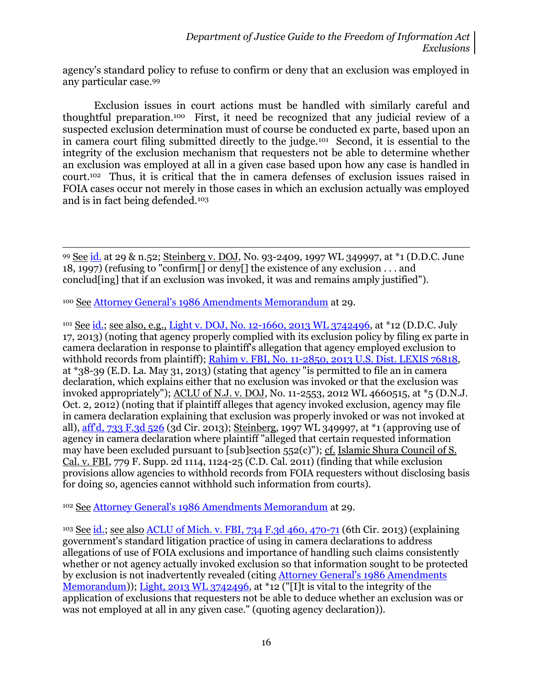agency's standard policy to refuse to confirm or deny that an exclusion was employed in any particular case.<sup>99</sup>

Exclusion issues in court actions must be handled with similarly careful and thoughtful preparation.100 First, it need be recognized that any judicial review of a suspected exclusion determination must of course be conducted ex parte, based upon an in camera court filing submitted directly to the judge.<sup>101</sup> Second, it is essential to the integrity of the exclusion mechanism that requesters not be able to determine whether an exclusion was employed at all in a given case based upon how any case is handled in court.102 Thus, it is critical that the in camera defenses of exclusion issues raised in FOIA cases occur not merely in those cases in which an exclusion actually was employed and is in fact being defended.<sup>103</sup>

99 See [id.](http://www.justice.gov/oip/86agmemo.htm) at 29 & n.52; Steinberg v. DOJ, No. 93-2409, 1997 WL 349997, at \*1 (D.D.C. June 18, 1997) (refusing to "confirm[] or deny[] the existence of any exclusion . . . and conclud[ing] that if an exclusion was invoked, it was and remains amply justified").

<sup>100</sup> See [Attorney General's 1986 Amendments Memorandum](http://www.justice.gov/oip/86agmemo.htm) at 29.

l

<sup>101</sup> See [id.;](http://www.justice.gov/oip/86agmemo.htm) see also, e.g., [Light v. DOJ, No. 12-1660, 2013 WL 3742496,](http://blogs.justice.gov/court-decisions/archives/748) at \*12 (D.D.C. July 17, 2013) (noting that agency properly complied with its exclusion policy by filing ex parte in camera declaration in response to plaintiff's allegation that agency employed exclusion to withhold records from plaintiff); [Rahim v. FBI, No. 11-2850, 2013 U.S. Dist. LEXIS 76818,](http://blogs.justice.gov/court-decisions/archives/484) at \*38-39 (E.D. La. May 31, 2013) (stating that agency "is permitted to file an in camera declaration, which explains either that no exclusion was invoked or that the exclusion was invoked appropriately"); ACLU of N.J. v. DOJ, No. 11-2553, 2012 WL 4660515, at \*5 (D.N.J. Oct. 2, 2012) (noting that if plaintiff alleges that agency invoked exclusion, agency may file in camera declaration explaining that exclusion was properly invoked or was not invoked at all), [aff'd, 733 F.3d 526](http://blogs.justice.gov/court-decisions/archives/1124) (3d Cir. 2013); Steinberg, 1997 WL 349997, at \*1 (approving use of agency in camera declaration where plaintiff "alleged that certain requested information may have been excluded pursuant to [sub]section 552(c)"); cf. Islamic Shura Council of S. Cal. v. FBI, 779 F. Supp. 2d 1114, 1124-25 (C.D. Cal. 2011) (finding that while exclusion provisions allow agencies to withhold records from FOIA requesters without disclosing basis for doing so, agencies cannot withhold such information from courts).

<sup>102</sup> See [Attorney General's 1986 Amendments Memorandum](http://www.justice.gov/oip/86agmemo.htm) at 29.

<sup>103</sup> See [id.;](http://www.justice.gov/oip/86agmemo.htm) see also ACLU of Mich. [v. FBI, 734 F.3d 460, 470-71](http://blogs.justice.gov/court-decisions/archives/892) (6th Cir. 2013) (explaining government's standard litigation practice of using in camera declarations to address allegations of use of FOIA exclusions and importance of handling such claims consistently whether or not agency actually invoked exclusion so that information sought to be protected by exclusion is not inadvertently revealed (citing [Attorney General's 1986 Amendments](http://www.justice.gov/oip/86agmemo.htm)  [Memorandum\)](http://www.justice.gov/oip/86agmemo.htm)); [Light, 2013 WL 3742496,](http://blogs.justice.gov/court-decisions/archives/748) at \*12 ("[I]t is vital to the integrity of the application of exclusions that requesters not be able to deduce whether an exclusion was or was not employed at all in any given case." (quoting agency declaration)).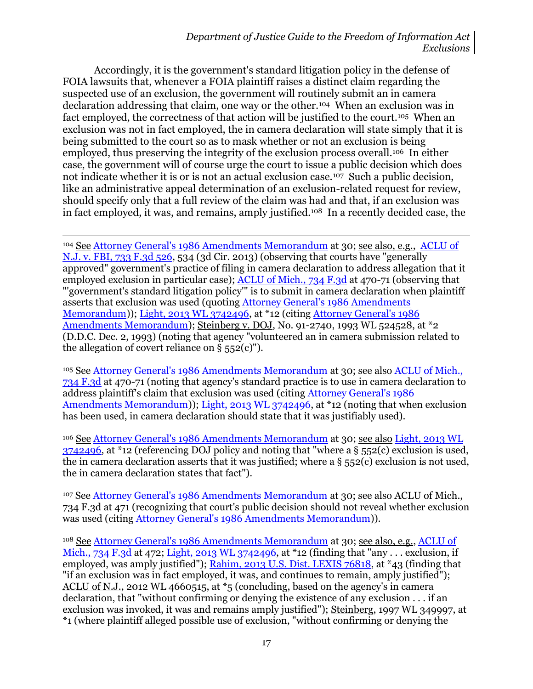#### *Department of Justice Guide to the Freedom of Information Act Exclusions*

Accordingly, it is the government's standard litigation policy in the defense of FOIA lawsuits that, whenever a FOIA plaintiff raises a distinct claim regarding the suspected use of an exclusion, the government will routinely submit an in camera declaration addressing that claim, one way or the other.104 When an exclusion was in fact employed, the correctness of that action will be justified to the court.<sup>105</sup> When an exclusion was not in fact employed, the in camera declaration will state simply that it is being submitted to the court so as to mask whether or not an exclusion is being employed, thus preserving the integrity of the exclusion process overall.106 In either case, the government will of course urge the court to issue a public decision which does not indicate whether it is or is not an actual exclusion case.<sup>107</sup> Such a public decision, like an administrative appeal determination of an exclusion-related request for review, should specify only that a full review of the claim was had and that, if an exclusion was in fact employed, it was, and remains, amply justified.108 In a recently decided case, the

<sup>104</sup> See [Attorney General's 1986 Amendments Memorandum](http://www.justice.gov/oip/86agmemo.htm) at 30; see also, e.g., [ACLU](http://blogs.justice.gov/court-decisions/archives/1124) of [N.J. v. FBI, 733 F.3d 526,](http://blogs.justice.gov/court-decisions/archives/1124) 534 (3d Cir. 2013) (observing that courts have "generally approved" government's practice of filing in camera declaration to address allegation that it employed exclusion in particular case); ACLU [of Mich., 734 F.3d](http://blogs.justice.gov/court-decisions/archives/892) at 470-71 (observing that "'government's standard litigation policy'" is to submit in camera declaration when plaintiff asserts that exclusion was used (quoting [Attorney General's 1986 Amendments](http://www.justice.gov/oip/86agmemo.htm)  [Memorandum\)](http://www.justice.gov/oip/86agmemo.htm)); [Light, 2013 WL 3742496,](http://blogs.justice.gov/court-decisions/archives/748) at \*12 (citin[g Attorney General's 1986](http://www.justice.gov/oip/86agmemo.htm)  [Amendments Memorandum\)](http://www.justice.gov/oip/86agmemo.htm); Steinberg v. DOJ, No. 91-2740, 1993 WL 524528, at \*2 (D.D.C. Dec. 2, 1993) (noting that agency "volunteered an in camera submission related to the allegation of covert reliance on  $\S$  552(c)").

l

<sup>105</sup> See [Attorney General's 1986 Amendments Memorandum](http://www.justice.gov/oip/86agmemo.htm) at 30; see also ACLU [of Mich.,](http://blogs.justice.gov/court-decisions/archives/892)  [734 F.3d](http://blogs.justice.gov/court-decisions/archives/892) at 470-71 (noting that agency's standard practice is to use in camera declaration to address plaintiff's claim that exclusion was used (citing [Attorney General's 1986](http://www.justice.gov/oip/86agmemo.htm)  [Amendments Memorandum\)](http://www.justice.gov/oip/86agmemo.htm)); [Light, 2013 WL 3742496,](http://blogs.justice.gov/court-decisions/archives/748) at \*12 (noting that when exclusion has been used, in camera declaration should state that it was justifiably used).

<sup>106</sup> See [Attorney General's 1986 Amendments Memorandum](http://www.justice.gov/oip/86agmemo.htm) at 30; see also [Light, 2013 WL](http://blogs.justice.gov/court-decisions/archives/748)  [3742496,](http://blogs.justice.gov/court-decisions/archives/748) at \*12 (referencing DOJ policy and noting that "where a § 552(c) exclusion is used, the in camera declaration asserts that it was justified; where a § 552(c) exclusion is not used, the in camera declaration states that fact").

<sup>107</sup> See [Attorney General's 1986 Amendments Memorandum](http://www.justice.gov/oip/86agmemo.htm) at 30; see also ACLU of Mich., 734 F.3d at 471 (recognizing that court's public decision should not reveal whether exclusion was used (citing [Attorney General's 1986 Amendments Memorandum\)](http://www.justice.gov/oip/86agmemo.htm)).

<sup>108</sup> See [Attorney General's 1986 Amendments Memorandum](http://www.justice.gov/oip/86agmemo.htm) at 30; see also, e.g., [ACLU](http://blogs.justice.gov/court-decisions/archives/892) of [Mich., 734 F.3d](http://blogs.justice.gov/court-decisions/archives/892) at 472; [Light, 2013 WL 3742496,](http://blogs.justice.gov/court-decisions/archives/748) at \*12 (finding that "any . . . exclusion, if employed, was amply justified"); [Rahim, 2013 U.S. Dist. LEXIS 76818,](http://blogs.justice.gov/court-decisions/archives/484) at \*43 (finding that "if an exclusion was in fact employed, it was, and continues to remain, amply justified"); ACLU of N.J., 2012 WL 4660515, at \*5 (concluding, based on the agency's in camera declaration, that "without confirming or denying the existence of any exclusion . . . if an exclusion was invoked, it was and remains amply justified"); Steinberg, 1997 WL 349997, at \*1 (where plaintiff alleged possible use of exclusion, "without confirming or denying the